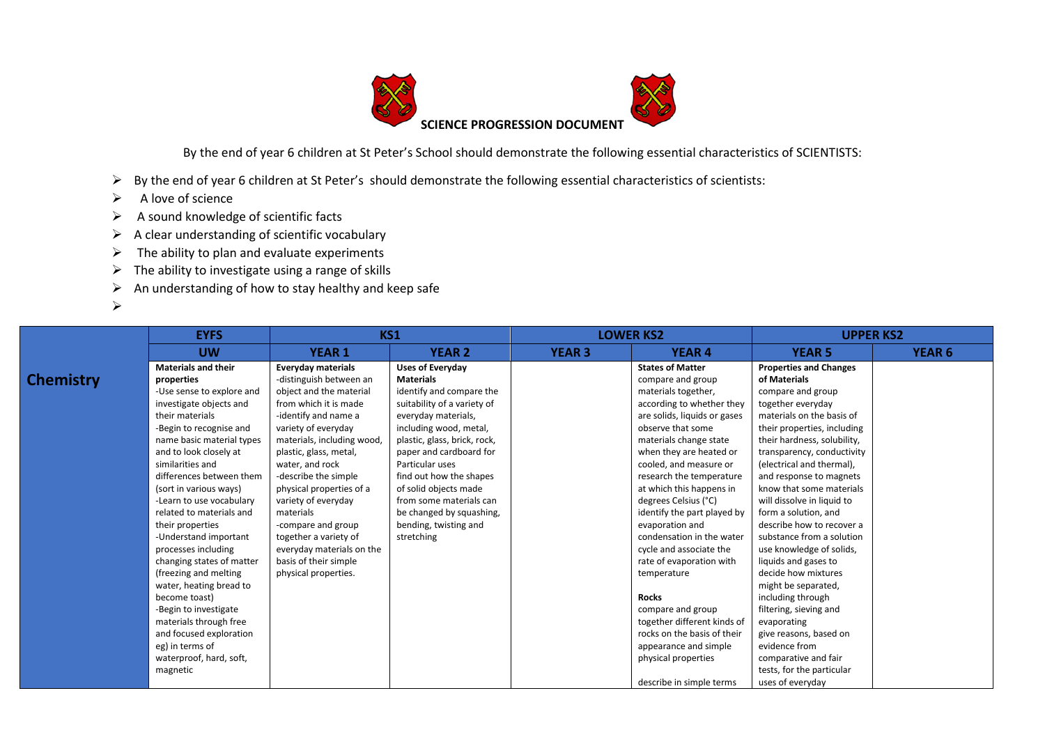

By the end of year 6 children at St Peter's School should demonstrate the following essential characteristics of SCIENTISTS:

- ➢ By the end of year 6 children at St Peter's should demonstrate the following essential characteristics of scientists:
- ➢ A love of science
- ➢ A sound knowledge of scientific facts
- $\triangleright$  A clear understanding of scientific vocabulary
- $\triangleright$  The ability to plan and evaluate experiments
- $\triangleright$  The ability to investigate using a range of skills
- $\triangleright$  An understanding of how to stay healthy and keep safe
- ➢

**Che** 

|        | <b>EYFS</b>                | <b>KS1</b>                 |                              | <b>LOWER KS2</b> |                              | <b>UPPER KS2</b>              |               |
|--------|----------------------------|----------------------------|------------------------------|------------------|------------------------------|-------------------------------|---------------|
|        | <b>UW</b>                  | <b>YEAR 1</b>              | <b>YEAR 2</b>                | <b>YEAR 3</b>    | <b>YEAR 4</b>                | <b>YEAR 5</b>                 | <b>YEAR 6</b> |
|        | <b>Materials and their</b> | <b>Everyday materials</b>  | <b>Uses of Everyday</b>      |                  | <b>States of Matter</b>      | <b>Properties and Changes</b> |               |
| mistry | properties                 | -distinguish between an    | <b>Materials</b>             |                  | compare and group            | of Materials                  |               |
|        | -Use sense to explore and  | object and the material    | identify and compare the     |                  | materials together,          | compare and group             |               |
|        | investigate objects and    | from which it is made      | suitability of a variety of  |                  | according to whether they    | together everyday             |               |
|        | their materials            | -identify and name a       | everyday materials,          |                  | are solids, liquids or gases | materials on the basis of     |               |
|        | -Begin to recognise and    | variety of everyday        | including wood, metal,       |                  | observe that some            | their properties, including   |               |
|        | name basic material types  | materials, including wood, | plastic, glass, brick, rock, |                  | materials change state       | their hardness, solubility,   |               |
|        | and to look closely at     | plastic, glass, metal,     | paper and cardboard for      |                  | when they are heated or      | transparency, conductivity    |               |
|        | similarities and           | water, and rock            | Particular uses              |                  | cooled, and measure or       | (electrical and thermal),     |               |
|        | differences between them   | -describe the simple       | find out how the shapes      |                  | research the temperature     | and response to magnets       |               |
|        | (sort in various ways)     | physical properties of a   | of solid objects made        |                  | at which this happens in     | know that some materials      |               |
|        | -Learn to use vocabulary   | variety of everyday        | from some materials can      |                  | degrees Celsius (°C)         | will dissolve in liquid to    |               |
|        | related to materials and   | materials                  | be changed by squashing,     |                  | identify the part played by  | form a solution, and          |               |
|        | their properties           | -compare and group         | bending, twisting and        |                  | evaporation and              | describe how to recover a     |               |
|        | -Understand important      | together a variety of      | stretching                   |                  | condensation in the water    | substance from a solution     |               |
|        | processes including        | everyday materials on the  |                              |                  | cycle and associate the      | use knowledge of solids,      |               |
|        | changing states of matter  | basis of their simple      |                              |                  | rate of evaporation with     | liquids and gases to          |               |
|        | (freezing and melting      | physical properties.       |                              |                  | temperature                  | decide how mixtures           |               |
|        | water, heating bread to    |                            |                              |                  |                              | might be separated,           |               |
|        | become toast)              |                            |                              |                  | <b>Rocks</b>                 | including through             |               |
|        | -Begin to investigate      |                            |                              |                  | compare and group            | filtering, sieving and        |               |
|        | materials through free     |                            |                              |                  | together different kinds of  | evaporating                   |               |
|        | and focused exploration    |                            |                              |                  | rocks on the basis of their  | give reasons, based on        |               |
|        | eg) in terms of            |                            |                              |                  | appearance and simple        | evidence from                 |               |
|        | waterproof, hard, soft,    |                            |                              |                  | physical properties          | comparative and fair          |               |
|        | magnetic                   |                            |                              |                  |                              | tests, for the particular     |               |
|        |                            |                            |                              |                  | describe in simple terms     | uses of everyday              |               |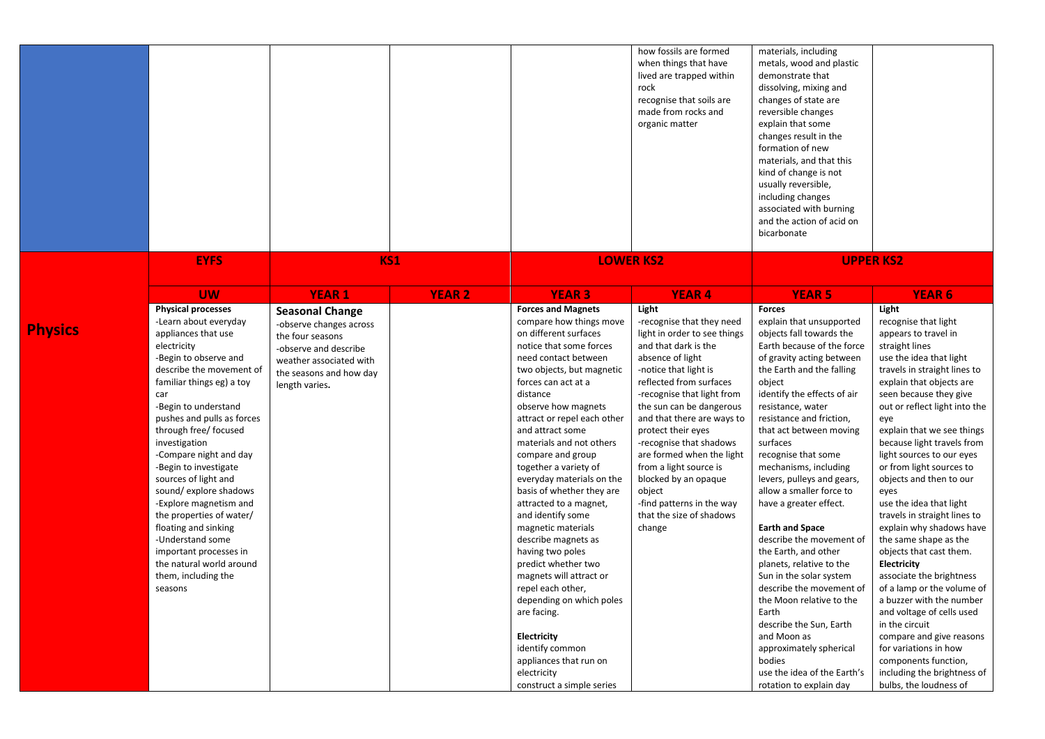|                |                                                                                                                                                                                                                                                                                                                                                                                                                                                                                                                                                                                 |                                                                                                                                                                        |               |                                                                                                                                                                                                                                                                                                                                                                                                                                                                                                                                                                                                                                                                                                                                                          | how fossils are formed<br>when things that have<br>lived are trapped within<br>rock<br>recognise that soils are<br>made from rocks and<br>organic matter                                                                                                                                                                                                                                                                                                                | materials, including<br>metals, wood and plastic<br>demonstrate that<br>dissolving, mixing and<br>changes of state are<br>reversible changes<br>explain that some<br>changes result in the<br>formation of new<br>materials, and that this<br>kind of change is not<br>usually reversible,<br>including changes<br>associated with burning<br>and the action of acid on<br>bicarbonate                                                                                                                                                                                                                                                                                                                                                                                            |                                                                                                                                                                                                                                                                                                                                                                                                                                                                                                                                                                                                                                                                                                                                                                                                                               |
|----------------|---------------------------------------------------------------------------------------------------------------------------------------------------------------------------------------------------------------------------------------------------------------------------------------------------------------------------------------------------------------------------------------------------------------------------------------------------------------------------------------------------------------------------------------------------------------------------------|------------------------------------------------------------------------------------------------------------------------------------------------------------------------|---------------|----------------------------------------------------------------------------------------------------------------------------------------------------------------------------------------------------------------------------------------------------------------------------------------------------------------------------------------------------------------------------------------------------------------------------------------------------------------------------------------------------------------------------------------------------------------------------------------------------------------------------------------------------------------------------------------------------------------------------------------------------------|-------------------------------------------------------------------------------------------------------------------------------------------------------------------------------------------------------------------------------------------------------------------------------------------------------------------------------------------------------------------------------------------------------------------------------------------------------------------------|-----------------------------------------------------------------------------------------------------------------------------------------------------------------------------------------------------------------------------------------------------------------------------------------------------------------------------------------------------------------------------------------------------------------------------------------------------------------------------------------------------------------------------------------------------------------------------------------------------------------------------------------------------------------------------------------------------------------------------------------------------------------------------------|-------------------------------------------------------------------------------------------------------------------------------------------------------------------------------------------------------------------------------------------------------------------------------------------------------------------------------------------------------------------------------------------------------------------------------------------------------------------------------------------------------------------------------------------------------------------------------------------------------------------------------------------------------------------------------------------------------------------------------------------------------------------------------------------------------------------------------|
|                | <b>EYFS</b>                                                                                                                                                                                                                                                                                                                                                                                                                                                                                                                                                                     | <b>KS1</b>                                                                                                                                                             |               |                                                                                                                                                                                                                                                                                                                                                                                                                                                                                                                                                                                                                                                                                                                                                          | <b>LOWER KS2</b>                                                                                                                                                                                                                                                                                                                                                                                                                                                        |                                                                                                                                                                                                                                                                                                                                                                                                                                                                                                                                                                                                                                                                                                                                                                                   | <b>UPPER KS2</b>                                                                                                                                                                                                                                                                                                                                                                                                                                                                                                                                                                                                                                                                                                                                                                                                              |
|                | <b>UW</b>                                                                                                                                                                                                                                                                                                                                                                                                                                                                                                                                                                       | <b>YEAR 1</b>                                                                                                                                                          | <b>YEAR 2</b> | <b>YEAR 3</b>                                                                                                                                                                                                                                                                                                                                                                                                                                                                                                                                                                                                                                                                                                                                            | <b>YEAR4</b>                                                                                                                                                                                                                                                                                                                                                                                                                                                            | <b>YEAR 5</b>                                                                                                                                                                                                                                                                                                                                                                                                                                                                                                                                                                                                                                                                                                                                                                     | <b>YEAR 6</b>                                                                                                                                                                                                                                                                                                                                                                                                                                                                                                                                                                                                                                                                                                                                                                                                                 |
| <b>Physics</b> | <b>Physical processes</b><br>-Learn about everyday<br>appliances that use<br>electricity<br>-Begin to observe and<br>describe the movement of<br>familiar things eg) a toy<br>car<br>-Begin to understand<br>pushes and pulls as forces<br>through free/ focused<br>investigation<br>-Compare night and day<br>-Begin to investigate<br>sources of light and<br>sound/explore shadows<br>-Explore magnetism and<br>the properties of water/<br>floating and sinking<br>-Understand some<br>important processes in<br>the natural world around<br>them, including the<br>seasons | <b>Seasonal Change</b><br>-observe changes across<br>the four seasons<br>-observe and describe<br>weather associated with<br>the seasons and how day<br>length varies. |               | <b>Forces and Magnets</b><br>compare how things move<br>on different surfaces<br>notice that some forces<br>need contact between<br>two objects, but magnetic<br>forces can act at a<br>distance<br>observe how magnets<br>attract or repel each other<br>and attract some<br>materials and not others<br>compare and group<br>together a variety of<br>everyday materials on the<br>basis of whether they are<br>attracted to a magnet,<br>and identify some<br>magnetic materials<br>describe magnets as<br>having two poles<br>predict whether two<br>magnets will attract or<br>repel each other,<br>depending on which poles<br>are facing.<br>Electricity<br>identify common<br>appliances that run on<br>electricity<br>construct a simple series | Light<br>-recognise that they need<br>light in order to see things<br>and that dark is the<br>absence of light<br>-notice that light is<br>reflected from surfaces<br>-recognise that light from<br>the sun can be dangerous<br>and that there are ways to<br>protect their eyes<br>-recognise that shadows<br>are formed when the light<br>from a light source is<br>blocked by an opaque<br>object<br>-find patterns in the way<br>that the size of shadows<br>change | <b>Forces</b><br>explain that unsupported<br>objects fall towards the<br>Earth because of the force<br>of gravity acting between<br>the Earth and the falling<br>object<br>identify the effects of air<br>resistance, water<br>resistance and friction,<br>that act between moving<br>surfaces<br>recognise that some<br>mechanisms, including<br>levers, pulleys and gears,<br>allow a smaller force to<br>have a greater effect.<br><b>Earth and Space</b><br>describe the movement of<br>the Earth, and other<br>planets, relative to the<br>Sun in the solar system<br>describe the movement of<br>the Moon relative to the<br>Earth<br>describe the Sun, Earth<br>and Moon as<br>approximately spherical<br>bodies<br>use the idea of the Earth's<br>rotation to explain day | Light<br>recognise that light<br>appears to travel in<br>straight lines<br>use the idea that light<br>travels in straight lines to<br>explain that objects are<br>seen because they give<br>out or reflect light into the<br>eye<br>explain that we see things<br>because light travels from<br>light sources to our eyes<br>or from light sources to<br>objects and then to our<br>eyes<br>use the idea that light<br>travels in straight lines to<br>explain why shadows have<br>the same shape as the<br>objects that cast them.<br>Electricity<br>associate the brightness<br>of a lamp or the volume of<br>a buzzer with the number<br>and voltage of cells used<br>in the circuit<br>compare and give reasons<br>for variations in how<br>components function,<br>including the brightness of<br>bulbs, the loudness of |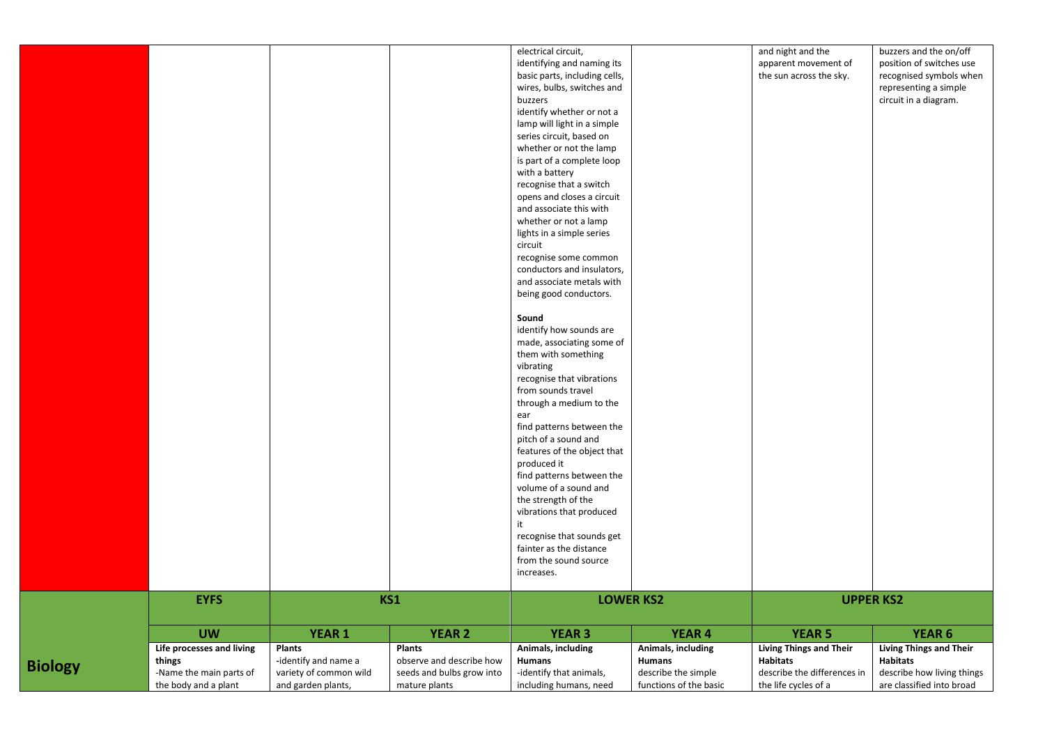|                |                                                 |                        |                           | electrical circuit,           |                     | and night and the              | buzzers and the on/off         |
|----------------|-------------------------------------------------|------------------------|---------------------------|-------------------------------|---------------------|--------------------------------|--------------------------------|
|                |                                                 |                        |                           | identifying and naming its    |                     | apparent movement of           | position of switches use       |
|                |                                                 |                        |                           | basic parts, including cells, |                     | the sun across the sky.        | recognised symbols when        |
|                |                                                 |                        |                           | wires, bulbs, switches and    |                     |                                | representing a simple          |
|                |                                                 |                        |                           | buzzers                       |                     |                                | circuit in a diagram.          |
|                |                                                 |                        |                           | identify whether or not a     |                     |                                |                                |
|                |                                                 |                        |                           | lamp will light in a simple   |                     |                                |                                |
|                |                                                 |                        |                           | series circuit, based on      |                     |                                |                                |
|                |                                                 |                        |                           | whether or not the lamp       |                     |                                |                                |
|                |                                                 |                        |                           | is part of a complete loop    |                     |                                |                                |
|                |                                                 |                        |                           | with a battery                |                     |                                |                                |
|                |                                                 |                        |                           | recognise that a switch       |                     |                                |                                |
|                |                                                 |                        |                           | opens and closes a circuit    |                     |                                |                                |
|                |                                                 |                        |                           | and associate this with       |                     |                                |                                |
|                |                                                 |                        |                           | whether or not a lamp         |                     |                                |                                |
|                |                                                 |                        |                           | lights in a simple series     |                     |                                |                                |
|                |                                                 |                        |                           | circuit                       |                     |                                |                                |
|                |                                                 |                        |                           | recognise some common         |                     |                                |                                |
|                |                                                 |                        |                           | conductors and insulators,    |                     |                                |                                |
|                |                                                 |                        |                           | and associate metals with     |                     |                                |                                |
|                |                                                 |                        |                           |                               |                     |                                |                                |
|                |                                                 |                        |                           | being good conductors.        |                     |                                |                                |
|                |                                                 |                        |                           | Sound                         |                     |                                |                                |
|                |                                                 |                        |                           | identify how sounds are       |                     |                                |                                |
|                |                                                 |                        |                           | made, associating some of     |                     |                                |                                |
|                |                                                 |                        |                           | them with something           |                     |                                |                                |
|                |                                                 |                        |                           | vibrating                     |                     |                                |                                |
|                |                                                 |                        |                           | recognise that vibrations     |                     |                                |                                |
|                |                                                 |                        |                           | from sounds travel            |                     |                                |                                |
|                |                                                 |                        |                           | through a medium to the       |                     |                                |                                |
|                |                                                 |                        |                           | ear                           |                     |                                |                                |
|                |                                                 |                        |                           | find patterns between the     |                     |                                |                                |
|                |                                                 |                        |                           |                               |                     |                                |                                |
|                |                                                 |                        |                           | pitch of a sound and          |                     |                                |                                |
|                |                                                 |                        |                           | features of the object that   |                     |                                |                                |
|                |                                                 |                        |                           | produced it                   |                     |                                |                                |
|                |                                                 |                        |                           | find patterns between the     |                     |                                |                                |
|                |                                                 |                        |                           | volume of a sound and         |                     |                                |                                |
|                |                                                 |                        |                           | the strength of the           |                     |                                |                                |
|                |                                                 |                        |                           | vibrations that produced      |                     |                                |                                |
|                |                                                 |                        |                           | it                            |                     |                                |                                |
|                |                                                 |                        |                           | recognise that sounds get     |                     |                                |                                |
|                |                                                 |                        |                           | fainter as the distance       |                     |                                |                                |
|                |                                                 |                        |                           | from the sound source         |                     |                                |                                |
|                |                                                 |                        |                           | increases.                    |                     |                                |                                |
|                | <b>EYFS</b>                                     | KS1                    |                           | <b>LOWER KS2</b>              |                     | <b>UPPER KS2</b>               |                                |
|                |                                                 |                        |                           |                               |                     |                                |                                |
|                | <b>UW</b>                                       | <b>YEAR 1</b>          | <b>YEAR 2</b>             | <b>YEAR 3</b>                 | <b>YEAR 4</b>       | <b>YEAR 5</b>                  | YEAR 6                         |
|                |                                                 |                        |                           |                               |                     |                                |                                |
|                | Life processes and living                       | <b>Plants</b>          | <b>Plants</b>             | Animals, including            | Animals, including  | <b>Living Things and Their</b> | <b>Living Things and Their</b> |
|                | things                                          | -identify and name a   | observe and describe how  | <b>Humans</b>                 | Humans              | <b>Habitats</b>                | <b>Habitats</b>                |
| <b>Biology</b> | -Name the main parts of<br>the body and a plant | variety of common wild | seeds and bulbs grow into | -identify that animals,       | describe the simple | describe the differences in    | describe how living things     |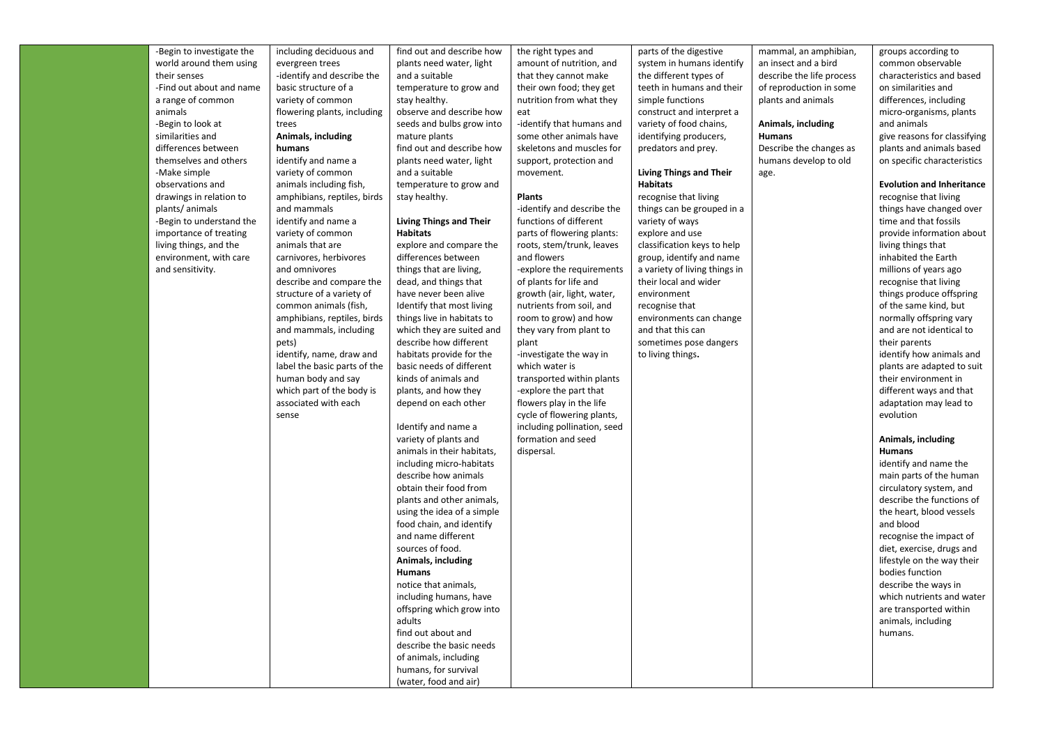| -Begin to investigate the | including deciduous and      | find out and describe how      | the right types and         | parts of the digestive         | mammal, an amphibian,     | groups according to              |
|---------------------------|------------------------------|--------------------------------|-----------------------------|--------------------------------|---------------------------|----------------------------------|
| world around them using   | evergreen trees              | plants need water, light       | amount of nutrition, and    | system in humans identify      | an insect and a bird      | common observable                |
| their senses              | -identify and describe the   | and a suitable                 | that they cannot make       | the different types of         | describe the life process | characteristics and based        |
| -Find out about and name  | basic structure of a         | temperature to grow and        | their own food; they get    | teeth in humans and their      | of reproduction in some   | on similarities and              |
| a range of common         | variety of common            | stay healthy.                  | nutrition from what they    | simple functions               | plants and animals        | differences, including           |
| animals                   | flowering plants, including  | observe and describe how       | eat                         | construct and interpret a      |                           | micro-organisms, plants          |
| -Begin to look at         | trees                        | seeds and bulbs grow into      | -identify that humans and   | variety of food chains,        | Animals, including        | and animals                      |
| similarities and          | Animals, including           | mature plants                  | some other animals have     | identifying producers,         | Humans                    | give reasons for classifying     |
| differences between       | humans                       | find out and describe how      | skeletons and muscles for   | predators and prey.            | Describe the changes as   | plants and animals based         |
| themselves and others     | identify and name a          | plants need water, light       | support, protection and     |                                | humans develop to old     | on specific characteristics      |
| -Make simple              | variety of common            | and a suitable                 | movement.                   | <b>Living Things and Their</b> | age.                      |                                  |
| observations and          | animals including fish,      | temperature to grow and        |                             | <b>Habitats</b>                |                           | <b>Evolution and Inheritance</b> |
| drawings in relation to   | amphibians, reptiles, birds  | stay healthy.                  | <b>Plants</b>               | recognise that living          |                           | recognise that living            |
| plants/animals            | and mammals                  |                                | -identify and describe the  | things can be grouped in a     |                           | things have changed over         |
| -Begin to understand the  | identify and name a          | <b>Living Things and Their</b> | functions of different      | variety of ways                |                           | time and that fossils            |
| importance of treating    | variety of common            | <b>Habitats</b>                | parts of flowering plants:  | explore and use                |                           | provide information about        |
| living things, and the    | animals that are             | explore and compare the        | roots, stem/trunk, leaves   | classification keys to help    |                           | living things that               |
| environment, with care    | carnivores, herbivores       | differences between            | and flowers                 | group, identify and name       |                           | inhabited the Earth              |
| and sensitivity.          | and omnivores                | things that are living,        | -explore the requirements   | a variety of living things in  |                           | millions of years ago            |
|                           | describe and compare the     | dead, and things that          | of plants for life and      | their local and wider          |                           | recognise that living            |
|                           | structure of a variety of    | have never been alive          | growth (air, light, water,  | environment                    |                           | things produce offspring         |
|                           | common animals (fish,        | Identify that most living      | nutrients from soil, and    | recognise that                 |                           | of the same kind, but            |
|                           | amphibians, reptiles, birds  | things live in habitats to     | room to grow) and how       | environments can change        |                           | normally offspring vary          |
|                           | and mammals, including       | which they are suited and      | they vary from plant to     | and that this can              |                           | and are not identical to         |
|                           | pets)                        | describe how different         | plant                       | sometimes pose dangers         |                           | their parents                    |
|                           | identify, name, draw and     | habitats provide for the       | -investigate the way in     | to living things.              |                           | identify how animals and         |
|                           | label the basic parts of the | basic needs of different       | which water is              |                                |                           | plants are adapted to suit       |
|                           | human body and say           | kinds of animals and           | transported within plants   |                                |                           | their environment in             |
|                           | which part of the body is    | plants, and how they           | -explore the part that      |                                |                           | different ways and that          |
|                           | associated with each         | depend on each other           | flowers play in the life    |                                |                           | adaptation may lead to           |
|                           | sense                        |                                | cycle of flowering plants,  |                                |                           | evolution                        |
|                           |                              | Identify and name a            | including pollination, seed |                                |                           |                                  |
|                           |                              | variety of plants and          | formation and seed          |                                |                           | Animals, including               |
|                           |                              | animals in their habitats,     | dispersal.                  |                                |                           | <b>Humans</b>                    |
|                           |                              | including micro-habitats       |                             |                                |                           | identify and name the            |
|                           |                              | describe how animals           |                             |                                |                           | main parts of the human          |
|                           |                              | obtain their food from         |                             |                                |                           | circulatory system, and          |
|                           |                              | plants and other animals,      |                             |                                |                           | describe the functions of        |
|                           |                              | using the idea of a simple     |                             |                                |                           | the heart, blood vessels         |
|                           |                              | food chain, and identify       |                             |                                |                           | and blood                        |
|                           |                              | and name different             |                             |                                |                           | recognise the impact of          |
|                           |                              | sources of food.               |                             |                                |                           | diet, exercise, drugs and        |
|                           |                              | Animals, including             |                             |                                |                           | lifestyle on the way their       |
|                           |                              | <b>Humans</b>                  |                             |                                |                           | bodies function                  |
|                           |                              | notice that animals,           |                             |                                |                           | describe the ways in             |
|                           |                              | including humans, have         |                             |                                |                           | which nutrients and water        |
|                           |                              | offspring which grow into      |                             |                                |                           | are transported within           |
|                           |                              | adults                         |                             |                                |                           | animals, including               |
|                           |                              | find out about and             |                             |                                |                           | humans.                          |
|                           |                              | describe the basic needs       |                             |                                |                           |                                  |
|                           |                              | of animals, including          |                             |                                |                           |                                  |
|                           |                              | humans, for survival           |                             |                                |                           |                                  |
|                           |                              | (water, food and air)          |                             |                                |                           |                                  |
|                           |                              |                                |                             |                                |                           |                                  |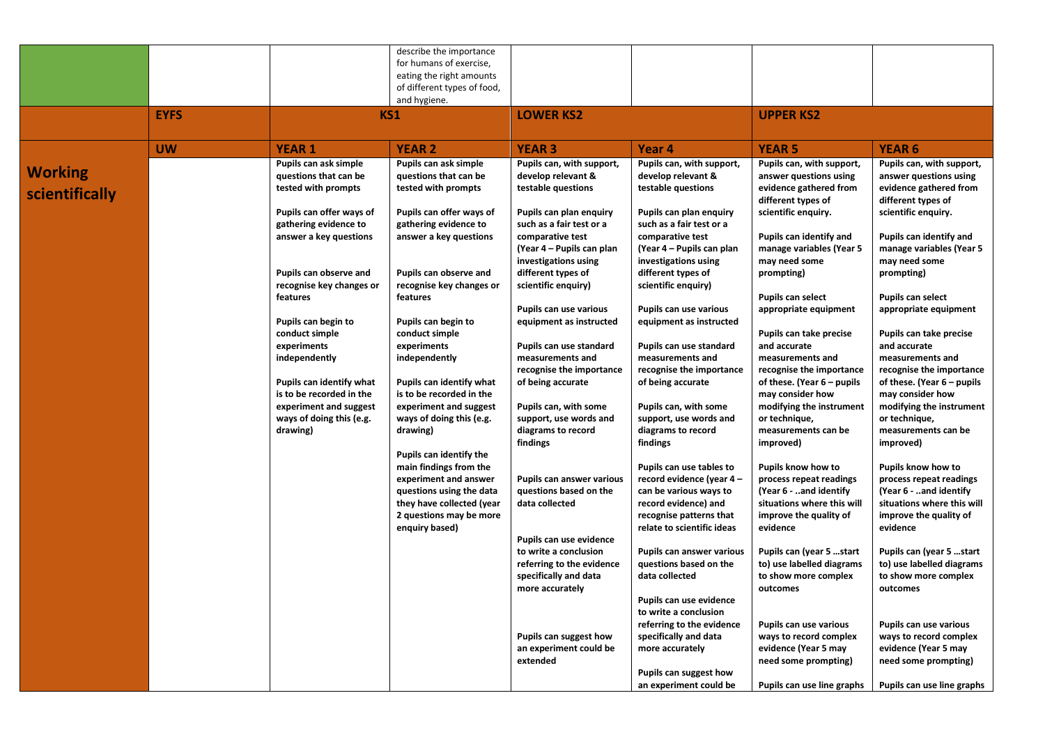|                |             |                                                    | describe the importance                            |                                                     |                                                     |                                                   |                                                   |
|----------------|-------------|----------------------------------------------------|----------------------------------------------------|-----------------------------------------------------|-----------------------------------------------------|---------------------------------------------------|---------------------------------------------------|
|                |             |                                                    | for humans of exercise,                            |                                                     |                                                     |                                                   |                                                   |
|                |             |                                                    | eating the right amounts                           |                                                     |                                                     |                                                   |                                                   |
|                |             |                                                    | of different types of food,                        |                                                     |                                                     |                                                   |                                                   |
|                |             |                                                    | and hygiene.                                       |                                                     |                                                     |                                                   |                                                   |
|                | <b>EYFS</b> |                                                    | KS1                                                | <b>LOWER KS2</b>                                    |                                                     | <b>UPPER KS2</b>                                  |                                                   |
|                |             |                                                    |                                                    |                                                     |                                                     |                                                   |                                                   |
|                |             |                                                    |                                                    |                                                     |                                                     |                                                   |                                                   |
|                | <b>UW</b>   | <b>YEAR 1</b>                                      | <b>YEAR 2</b>                                      | <b>YEAR 3</b>                                       | Year <sub>4</sub>                                   | <b>YEAR 5</b>                                     | <b>YEAR 6</b>                                     |
| <b>Working</b> |             | Pupils can ask simple                              | Pupils can ask simple                              | Pupils can, with support,                           | Pupils can, with support,                           | Pupils can, with support,                         | Pupils can, with support,                         |
|                |             | questions that can be                              | questions that can be                              | develop relevant &                                  | develop relevant &                                  | answer questions using                            | answer questions using                            |
| scientifically |             | tested with prompts                                | tested with prompts                                | testable questions                                  | testable questions                                  | evidence gathered from<br>different types of      | evidence gathered from<br>different types of      |
|                |             | Pupils can offer ways of                           | Pupils can offer ways of                           | Pupils can plan enquiry                             | Pupils can plan enquiry                             | scientific enquiry.                               | scientific enquiry.                               |
|                |             | gathering evidence to                              | gathering evidence to                              | such as a fair test or a                            | such as a fair test or a                            |                                                   |                                                   |
|                |             | answer a key questions                             | answer a key questions                             | comparative test                                    | comparative test                                    | Pupils can identify and                           | Pupils can identify and                           |
|                |             |                                                    |                                                    | (Year 4 – Pupils can plan                           | (Year 4 – Pupils can plan                           | manage variables (Year 5                          | manage variables (Year 5                          |
|                |             |                                                    |                                                    | investigations using                                | investigations using                                | may need some                                     | may need some                                     |
|                |             | Pupils can observe and<br>recognise key changes or | Pupils can observe and<br>recognise key changes or | different types of<br>scientific enquiry)           | different types of<br>scientific enquiry)           | prompting)                                        | prompting)                                        |
|                |             | features                                           | features                                           |                                                     |                                                     | <b>Pupils can select</b>                          | Pupils can select                                 |
|                |             |                                                    |                                                    | Pupils can use various                              | Pupils can use various                              | appropriate equipment                             | appropriate equipment                             |
|                |             | Pupils can begin to                                | Pupils can begin to                                | equipment as instructed                             | equipment as instructed                             |                                                   |                                                   |
|                |             | conduct simple                                     | conduct simple                                     |                                                     |                                                     | Pupils can take precise                           | Pupils can take precise                           |
|                |             | experiments                                        | experiments                                        | Pupils can use standard                             | Pupils can use standard                             | and accurate                                      | and accurate                                      |
|                |             | independently                                      | independently                                      | measurements and                                    | measurements and                                    | measurements and                                  | measurements and                                  |
|                |             |                                                    |                                                    | recognise the importance                            | recognise the importance                            | recognise the importance                          | recognise the importance                          |
|                |             | Pupils can identify what                           | Pupils can identify what                           | of being accurate                                   | of being accurate                                   | of these. (Year 6 - pupils                        | of these. (Year 6 – pupils                        |
|                |             | is to be recorded in the                           | is to be recorded in the                           |                                                     |                                                     | may consider how                                  | may consider how                                  |
|                |             | experiment and suggest                             | experiment and suggest                             | Pupils can, with some                               | Pupils can, with some                               | modifying the instrument                          | modifying the instrument                          |
|                |             | ways of doing this (e.g.                           | ways of doing this (e.g.                           | support, use words and                              | support, use words and                              | or technique,                                     | or technique,                                     |
|                |             | drawing)                                           | drawing)                                           | diagrams to record                                  | diagrams to record                                  | measurements can be                               | measurements can be                               |
|                |             |                                                    |                                                    | findings                                            | findings                                            | improved)                                         | improved)                                         |
|                |             |                                                    | Pupils can identify the                            |                                                     |                                                     |                                                   |                                                   |
|                |             |                                                    | main findings from the                             |                                                     | Pupils can use tables to                            | Pupils know how to                                | Pupils know how to                                |
|                |             |                                                    | experiment and answer<br>questions using the data  | Pupils can answer various<br>questions based on the | record evidence (year 4 -<br>can be various ways to | process repeat readings<br>(Year 6 - and identify | process repeat readings<br>(Year 6 - and identify |
|                |             |                                                    | they have collected (year                          | data collected                                      | record evidence) and                                | situations where this will                        | situations where this will                        |
|                |             |                                                    | 2 questions may be more                            |                                                     | recognise patterns that                             | improve the quality of                            | improve the quality of                            |
|                |             |                                                    | enquiry based)                                     |                                                     | relate to scientific ideas                          | evidence                                          | evidence                                          |
|                |             |                                                    |                                                    | Pupils can use evidence                             |                                                     |                                                   |                                                   |
|                |             |                                                    |                                                    | to write a conclusion                               | <b>Pupils can answer various</b>                    | Pupils can (year 5 start                          | Pupils can (year 5 start                          |
|                |             |                                                    |                                                    | referring to the evidence                           | questions based on the                              | to) use labelled diagrams                         | to) use labelled diagrams                         |
|                |             |                                                    |                                                    | specifically and data                               | data collected                                      | to show more complex                              | to show more complex                              |
|                |             |                                                    |                                                    | more accurately                                     |                                                     | outcomes                                          | outcomes                                          |
|                |             |                                                    |                                                    |                                                     | Pupils can use evidence                             |                                                   |                                                   |
|                |             |                                                    |                                                    |                                                     | to write a conclusion                               |                                                   |                                                   |
|                |             |                                                    |                                                    |                                                     | referring to the evidence                           | Pupils can use various                            | Pupils can use various                            |
|                |             |                                                    |                                                    | Pupils can suggest how                              | specifically and data                               | ways to record complex                            | ways to record complex                            |
|                |             |                                                    |                                                    | an experiment could be                              | more accurately                                     | evidence (Year 5 may                              | evidence (Year 5 may                              |
|                |             |                                                    |                                                    | extended                                            |                                                     | need some prompting)                              | need some prompting)                              |
|                |             |                                                    |                                                    |                                                     | Pupils can suggest how                              |                                                   |                                                   |
|                |             |                                                    |                                                    |                                                     | an experiment could be                              | Pupils can use line graphs                        | Pupils can use line graphs                        |